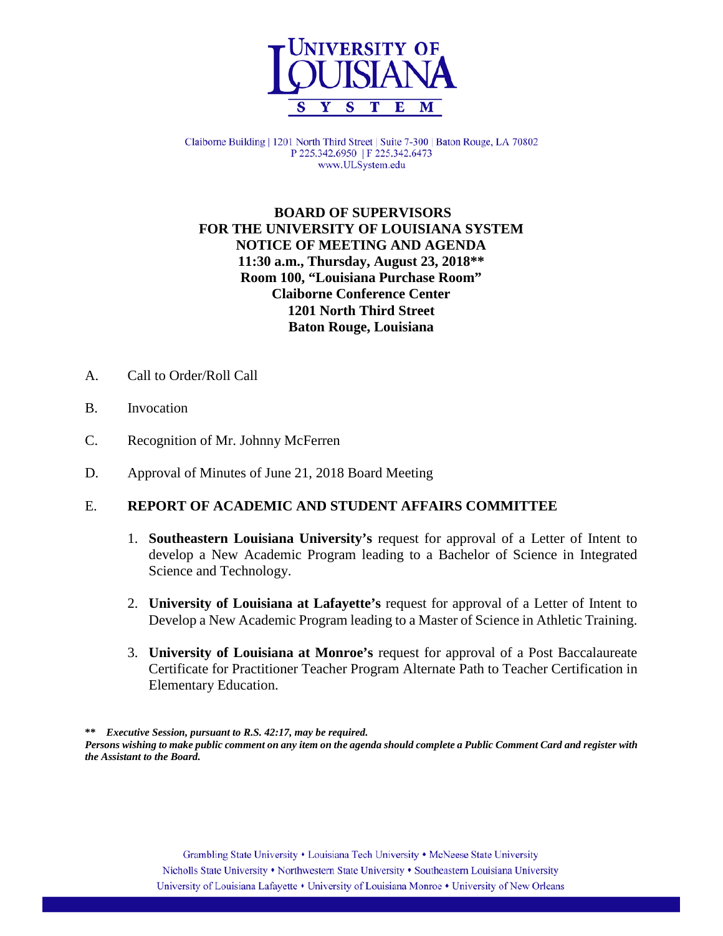

Claiborne Building | 1201 North Third Street | Suite 7-300 | Baton Rouge, LA 70802 P 225.342.6950 | F 225.342.6473 www.ULSystem.edu

### **BOARD OF SUPERVISORS FOR THE UNIVERSITY OF LOUISIANA SYSTEM NOTICE OF MEETING AND AGENDA 11:30 a.m., Thursday, August 23, 2018\*\* Room 100, "Louisiana Purchase Room" Claiborne Conference Center 1201 North Third Street Baton Rouge, Louisiana**

- A. Call to Order/Roll Call
- B. Invocation
- C. Recognition of Mr. Johnny McFerren
- D. Approval of Minutes of June 21, 2018 Board Meeting

# E. **REPORT OF ACADEMIC AND STUDENT AFFAIRS COMMITTEE**

- 1. **Southeastern Louisiana University's** request for approval of a Letter of Intent to develop a New Academic Program leading to a Bachelor of Science in Integrated Science and Technology.
- 2. **University of Louisiana at Lafayette's** request for approval of a Letter of Intent to Develop a New Academic Program leading to a Master of Science in Athletic Training.
- 3. **University of Louisiana at Monroe's** request for approval of a Post Baccalaureate Certificate for Practitioner Teacher Program Alternate Path to Teacher Certification in Elementary Education.

**\*\*** *Executive Session, pursuant to R.S. 42:17, may be required. Persons wishing to make public comment on any item on the agenda should complete a Public Comment Card and register with the Assistant to the Board.*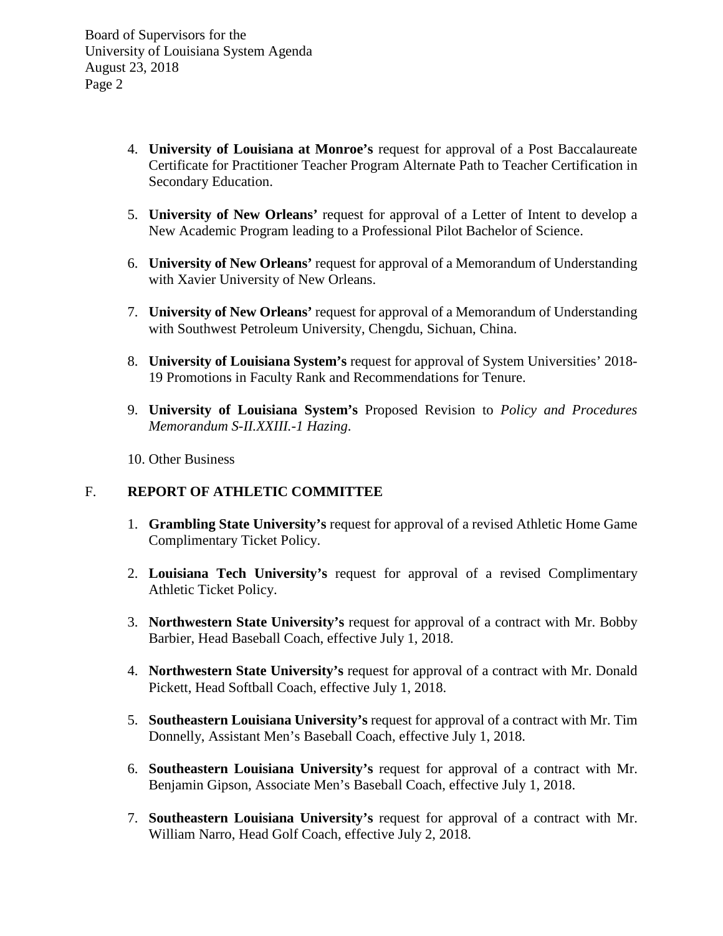- 4. **University of Louisiana at Monroe's** request for approval of a Post Baccalaureate Certificate for Practitioner Teacher Program Alternate Path to Teacher Certification in Secondary Education.
- 5. **University of New Orleans'** request for approval of a Letter of Intent to develop a New Academic Program leading to a Professional Pilot Bachelor of Science.
- 6. **University of New Orleans'** request for approval of a Memorandum of Understanding with Xavier University of New Orleans.
- 7. **University of New Orleans'** request for approval of a Memorandum of Understanding with Southwest Petroleum University, Chengdu, Sichuan, China.
- 8. **University of Louisiana System's** request for approval of System Universities' 2018- 19 Promotions in Faculty Rank and Recommendations for Tenure.
- 9. **University of Louisiana System's** Proposed Revision to *Policy and Procedures Memorandum S-II.XXIII.-1 Hazing*.
- 10. Other Business

# F. **REPORT OF ATHLETIC COMMITTEE**

- 1. **Grambling State University's** request for approval of a revised Athletic Home Game Complimentary Ticket Policy.
- 2. **Louisiana Tech University's** request for approval of a revised Complimentary Athletic Ticket Policy.
- 3. **Northwestern State University's** request for approval of a contract with Mr. Bobby Barbier, Head Baseball Coach, effective July 1, 2018.
- 4. **Northwestern State University's** request for approval of a contract with Mr. Donald Pickett, Head Softball Coach, effective July 1, 2018.
- 5. **Southeastern Louisiana University's** request for approval of a contract with Mr. Tim Donnelly, Assistant Men's Baseball Coach, effective July 1, 2018.
- 6. **Southeastern Louisiana University's** request for approval of a contract with Mr. Benjamin Gipson, Associate Men's Baseball Coach, effective July 1, 2018.
- 7. **Southeastern Louisiana University's** request for approval of a contract with Mr. William Narro, Head Golf Coach, effective July 2, 2018.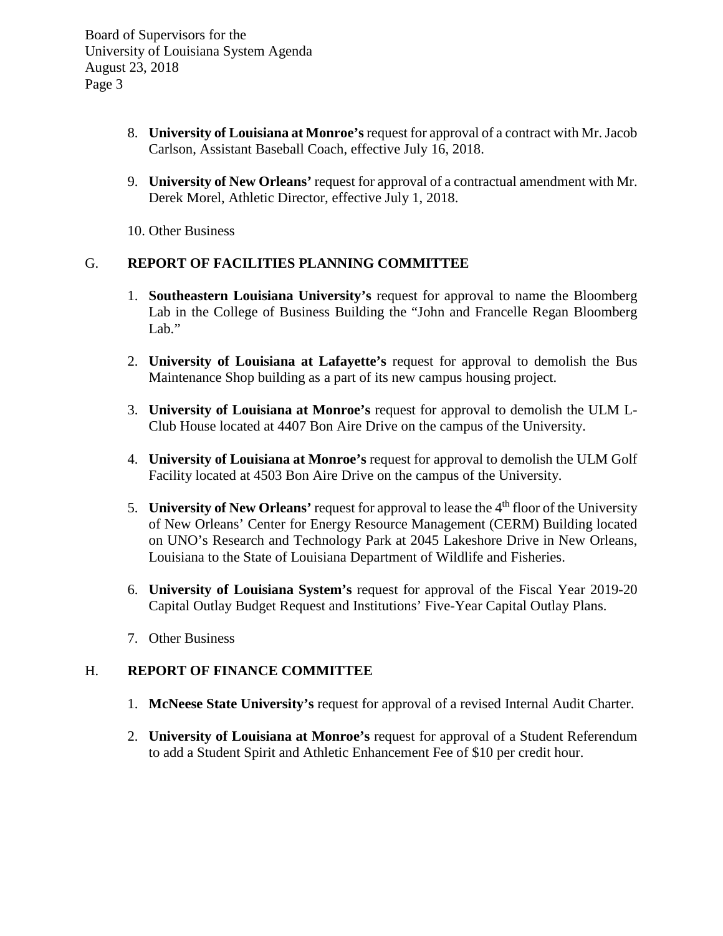- 8. **University of Louisiana at Monroe's** request for approval of a contract with Mr. Jacob Carlson, Assistant Baseball Coach, effective July 16, 2018.
- 9. **University of New Orleans'** request for approval of a contractual amendment with Mr. Derek Morel, Athletic Director, effective July 1, 2018.
- 10. Other Business

# G. **REPORT OF FACILITIES PLANNING COMMITTEE**

- 1. **Southeastern Louisiana University's** request for approval to name the Bloomberg Lab in the College of Business Building the "John and Francelle Regan Bloomberg Lab."
- 2. **University of Louisiana at Lafayette's** request for approval to demolish the Bus Maintenance Shop building as a part of its new campus housing project.
- 3. **University of Louisiana at Monroe's** request for approval to demolish the ULM L-Club House located at 4407 Bon Aire Drive on the campus of the University.
- 4. **University of Louisiana at Monroe's** request for approval to demolish the ULM Golf Facility located at 4503 Bon Aire Drive on the campus of the University.
- 5. **University of New Orleans'** request for approval to lease the 4<sup>th</sup> floor of the University of New Orleans' Center for Energy Resource Management (CERM) Building located on UNO's Research and Technology Park at 2045 Lakeshore Drive in New Orleans, Louisiana to the State of Louisiana Department of Wildlife and Fisheries.
- 6. **University of Louisiana System's** request for approval of the Fiscal Year 2019-20 Capital Outlay Budget Request and Institutions' Five-Year Capital Outlay Plans.
- 7. Other Business

# H. **REPORT OF FINANCE COMMITTEE**

- 1. **McNeese State University's** request for approval of a revised Internal Audit Charter.
- 2. **University of Louisiana at Monroe's** request for approval of a Student Referendum to add a Student Spirit and Athletic Enhancement Fee of \$10 per credit hour.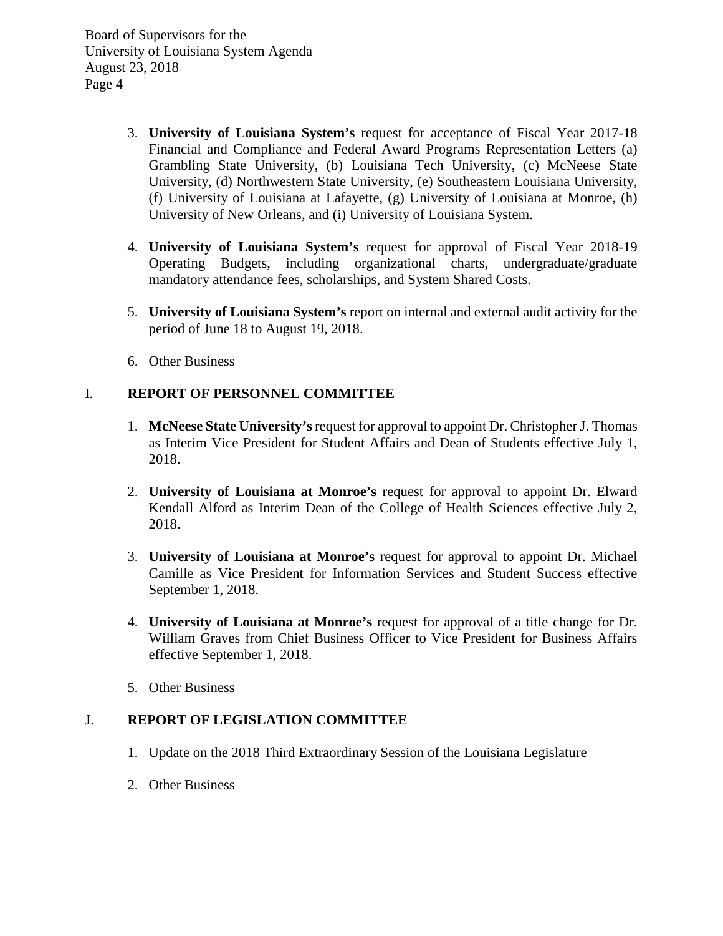- 3. **University of Louisiana System's** request for acceptance of Fiscal Year 2017-18 Financial and Compliance and Federal Award Programs Representation Letters (a) Grambling State University, (b) Louisiana Tech University, (c) McNeese State University, (d) Northwestern State University, (e) Southeastern Louisiana University, (f) University of Louisiana at Lafayette, (g) University of Louisiana at Monroe, (h) University of New Orleans, and (i) University of Louisiana System.
- 4. **University of Louisiana System's** request for approval of Fiscal Year 2018-19 Operating Budgets, including organizational charts, undergraduate/graduate mandatory attendance fees, scholarships, and System Shared Costs.
- 5. **University of Louisiana System's** report on internal and external audit activity for the period of June 18 to August 19, 2018.
- 6. Other Business

#### I. **REPORT OF PERSONNEL COMMITTEE**

- 1. **McNeese State University's**request for approval to appoint Dr. Christopher J. Thomas as Interim Vice President for Student Affairs and Dean of Students effective July 1, 2018.
- 2. **University of Louisiana at Monroe's** request for approval to appoint Dr. Elward Kendall Alford as Interim Dean of the College of Health Sciences effective July 2, 2018.
- 3. **University of Louisiana at Monroe's** request for approval to appoint Dr. Michael Camille as Vice President for Information Services and Student Success effective September 1, 2018.
- 4. **University of Louisiana at Monroe's** request for approval of a title change for Dr. William Graves from Chief Business Officer to Vice President for Business Affairs effective September 1, 2018.
- 5. Other Business

#### J. **REPORT OF LEGISLATION COMMITTEE**

- 1. Update on the 2018 Third Extraordinary Session of the Louisiana Legislature
- 2. Other Business